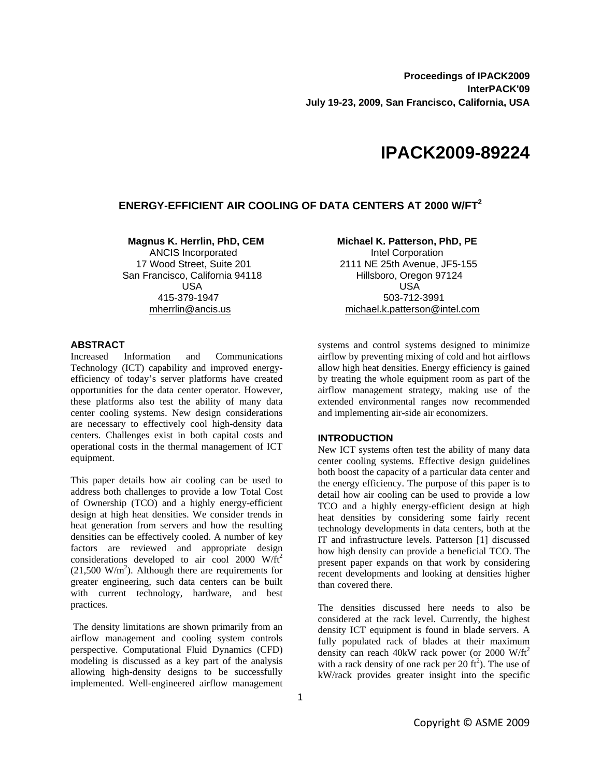# **IPACK2009-89224**

# **ENERGY-EFFICIENT AIR COOLING OF DATA CENTERS AT 2000 W/FT<sup>2</sup>**

ANCIS Incorporated **Intel Corporation** San Francisco, California 94118 Hillsboro, Oregon 97124 USA USA 415-379-1947 503-712-3991

Magnus K. Herrlin, PhD, CEM Michael K. Patterson, PhD, PE

 17 Wood Street, Suite 201 2111 NE 25th Avenue, JF5-155 mherrlin@ancis.us michael.k.patterson@intel.com

# **ABSTRACT**

Increased Information and Communications Technology (ICT) capability and improved energyefficiency of today's server platforms have created opportunities for the data center operator. However, these platforms also test the ability of many data center cooling systems. New design considerations are necessary to effectively cool high-density data centers. Challenges exist in both capital costs and operational costs in the thermal management of ICT equipment.

This paper details how air cooling can be used to address both challenges to provide a low Total Cost of Ownership (TCO) and a highly energy-efficient design at high heat densities. We consider trends in heat generation from servers and how the resulting densities can be effectively cooled. A number of key factors are reviewed and appropriate design considerations developed to air cool  $2000 \text{ W/ft}^2$  $(21,500 \text{ W/m}^2)$ . Although there are requirements for greater engineering, such data centers can be built with current technology, hardware, and best practices.

 The density limitations are shown primarily from an airflow management and cooling system controls perspective. Computational Fluid Dynamics (CFD) modeling is discussed as a key part of the analysis allowing high-density designs to be successfully implemented. Well-engineered airflow management

systems and control systems designed to minimize airflow by preventing mixing of cold and hot airflows allow high heat densities. Energy efficiency is gained by treating the whole equipment room as part of the airflow management strategy, making use of the extended environmental ranges now recommended and implementing air-side air economizers.

# **INTRODUCTION**

New ICT systems often test the ability of many data center cooling systems. Effective design guidelines both boost the capacity of a particular data center and the energy efficiency. The purpose of this paper is to detail how air cooling can be used to provide a low TCO and a highly energy-efficient design at high heat densities by considering some fairly recent technology developments in data centers, both at the IT and infrastructure levels. Patterson [1] discussed how high density can provide a beneficial TCO. The present paper expands on that work by considering recent developments and looking at densities higher than covered there.

The densities discussed here needs to also be considered at the rack level. Currently, the highest density ICT equipment is found in blade servers. A fully populated rack of blades at their maximum density can reach 40kW rack power (or 2000  $W/ft^2$ ) with a rack density of one rack per 20  $\text{ft}^2$ ). The use of kW/rack provides greater insight into the specific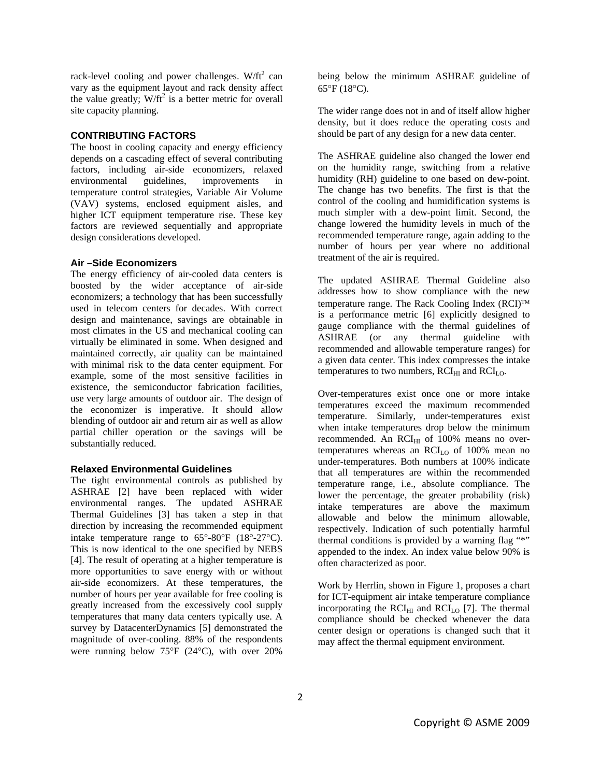rack-level cooling and power challenges. W/ $\text{ft}^2$  can vary as the equipment layout and rack density affect the value greatly;  $W/ft^2$  is a better metric for overall site capacity planning.

# **CONTRIBUTING FACTORS**

The boost in cooling capacity and energy efficiency depends on a cascading effect of several contributing factors, including air-side economizers, relaxed environmental guidelines, improvements in temperature control strategies, Variable Air Volume (VAV) systems, enclosed equipment aisles, and higher ICT equipment temperature rise. These key factors are reviewed sequentially and appropriate design considerations developed.

### **Air –Side Economizers**

The energy efficiency of air-cooled data centers is boosted by the wider acceptance of air-side economizers; a technology that has been successfully used in telecom centers for decades. With correct design and maintenance, savings are obtainable in most climates in the US and mechanical cooling can virtually be eliminated in some. When designed and maintained correctly, air quality can be maintained with minimal risk to the data center equipment. For example, some of the most sensitive facilities in existence, the semiconductor fabrication facilities, use very large amounts of outdoor air. The design of the economizer is imperative. It should allow blending of outdoor air and return air as well as allow partial chiller operation or the savings will be substantially reduced.

# **Relaxed Environmental Guidelines**

The tight environmental controls as published by ASHRAE [2] have been replaced with wider environmental ranges. The updated ASHRAE Thermal Guidelines [3] has taken a step in that direction by increasing the recommended equipment intake temperature range to 65°-80°F (18°-27°C). This is now identical to the one specified by NEBS [4]. The result of operating at a higher temperature is more opportunities to save energy with or without air-side economizers. At these temperatures, the number of hours per year available for free cooling is greatly increased from the excessively cool supply temperatures that many data centers typically use. A survey by DatacenterDynamics [5] demonstrated the magnitude of over-cooling. 88% of the respondents were running below 75°F (24°C), with over 20%

being below the minimum ASHRAE guideline of 65°F (18°C).

The wider range does not in and of itself allow higher density, but it does reduce the operating costs and should be part of any design for a new data center.

The ASHRAE guideline also changed the lower end on the humidity range, switching from a relative humidity (RH) guideline to one based on dew-point. The change has two benefits. The first is that the control of the cooling and humidification systems is much simpler with a dew-point limit. Second, the change lowered the humidity levels in much of the recommended temperature range, again adding to the number of hours per year where no additional treatment of the air is required.

The updated ASHRAE Thermal Guideline also addresses how to show compliance with the new temperature range. The Rack Cooling Index (RCI)™ is a performance metric [6] explicitly designed to gauge compliance with the thermal guidelines of ASHRAE (or any thermal guideline with recommended and allowable temperature ranges) for a given data center. This index compresses the intake temperatures to two numbers,  $RCI_{HI}$  and  $RCI_{LO}$ .

Over-temperatures exist once one or more intake temperatures exceed the maximum recommended temperature. Similarly, under-temperatures exist when intake temperatures drop below the minimum recommended. An  $RCI<sub>HI</sub>$  of 100% means no overtemperatures whereas an  $\text{RCI}_{\text{LO}}$  of 100% mean no under-temperatures. Both numbers at 100% indicate that all temperatures are within the recommended temperature range, i.e., absolute compliance. The lower the percentage, the greater probability (risk) intake temperatures are above the maximum allowable and below the minimum allowable, respectively. Indication of such potentially harmful thermal conditions is provided by a warning flag "\*" appended to the index. An index value below 90% is often characterized as poor.

Work by Herrlin, shown in Figure 1, proposes a chart for ICT-equipment air intake temperature compliance incorporating the  $RCI<sub>HI</sub>$  and  $RCI<sub>LO</sub>$  [7]. The thermal compliance should be checked whenever the data center design or operations is changed such that it may affect the thermal equipment environment.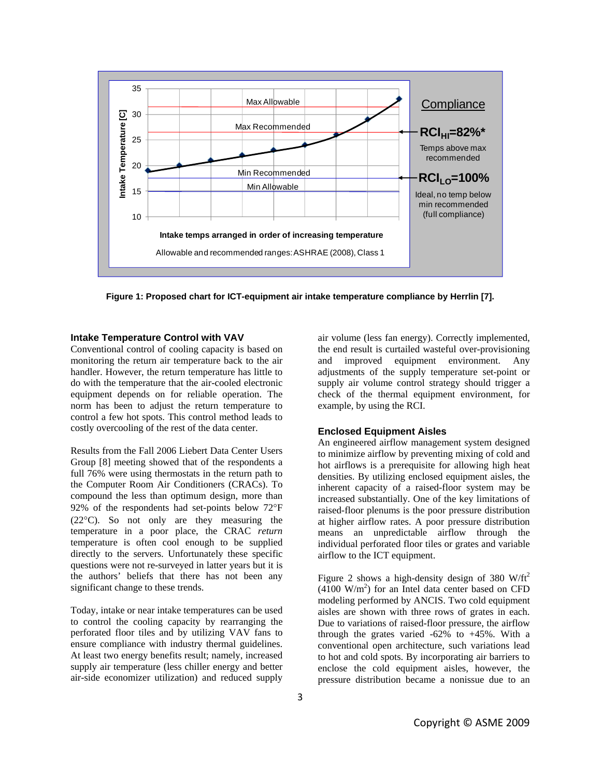

**Figure 1: Proposed chart for ICT-equipment air intake temperature compliance by Herrlin [7].** 

#### **Intake Temperature Control with VAV**

Conventional control of cooling capacity is based on monitoring the return air temperature back to the air handler. However, the return temperature has little to do with the temperature that the air-cooled electronic equipment depends on for reliable operation. The norm has been to adjust the return temperature to control a few hot spots. This control method leads to costly overcooling of the rest of the data center.

Results from the Fall 2006 Liebert Data Center Users Group [8] meeting showed that of the respondents a full 76% were using thermostats in the return path to the Computer Room Air Conditioners (CRACs). To compound the less than optimum design, more than 92% of the respondents had set-points below 72°F (22°C). So not only are they measuring the temperature in a poor place, the CRAC *return* temperature is often cool enough to be supplied directly to the servers. Unfortunately these specific questions were not re-surveyed in latter years but it is the authors' beliefs that there has not been any significant change to these trends.

Today, intake or near intake temperatures can be used to control the cooling capacity by rearranging the perforated floor tiles and by utilizing VAV fans to ensure compliance with industry thermal guidelines. At least two energy benefits result; namely, increased supply air temperature (less chiller energy and better air-side economizer utilization) and reduced supply air volume (less fan energy). Correctly implemented, the end result is curtailed wasteful over-provisioning and improved equipment environment. Any adjustments of the supply temperature set-point or supply air volume control strategy should trigger a check of the thermal equipment environment, for example, by using the RCI.

# **Enclosed Equipment Aisles**

An engineered airflow management system designed to minimize airflow by preventing mixing of cold and hot airflows is a prerequisite for allowing high heat densities. By utilizing enclosed equipment aisles, the inherent capacity of a raised-floor system may be increased substantially. One of the key limitations of raised-floor plenums is the poor pressure distribution at higher airflow rates. A poor pressure distribution means an unpredictable airflow through the individual perforated floor tiles or grates and variable airflow to the ICT equipment.

Figure 2 shows a high-density design of 380 W/ft<sup>2</sup>  $(4100 \text{ W/m}^2)$  for an Intel data center based on CFD modeling performed by ANCIS. Two cold equipment aisles are shown with three rows of grates in each. Due to variations of raised-floor pressure, the airflow through the grates varied  $-62\%$  to  $+45\%$ . With a conventional open architecture, such variations lead to hot and cold spots. By incorporating air barriers to enclose the cold equipment aisles, however, the pressure distribution became a nonissue due to an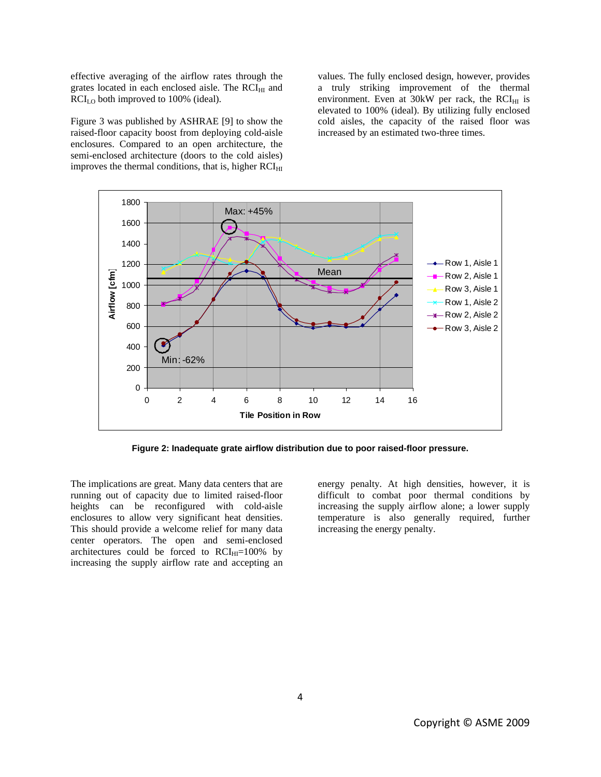effective averaging of the airflow rates through the grates located in each enclosed aisle. The  $RCI<sub>HI</sub>$  and  $RCI<sub>LO</sub>$  both improved to 100% (ideal).

Figure 3 was published by ASHRAE [9] to show the raised-floor capacity boost from deploying cold-aisle enclosures. Compared to an open architecture, the semi-enclosed architecture (doors to the cold aisles) improves the thermal conditions, that is, higher  $RCI_{HI}$ 

values. The fully enclosed design, however, provides a truly striking improvement of the thermal environment. Even at  $30kW$  per rack, the RCI $_{HI}$  is elevated to 100% (ideal). By utilizing fully enclosed cold aisles, the capacity of the raised floor was increased by an estimated two-three times.



**Figure 2: Inadequate grate airflow distribution due to poor raised-floor pressure.** 

The implications are great. Many data centers that are running out of capacity due to limited raised-floor heights can be reconfigured with cold-aisle enclosures to allow very significant heat densities. This should provide a welcome relief for many data center operators. The open and semi-enclosed architectures could be forced to  $RCI_{HI}=100\%$  by increasing the supply airflow rate and accepting an energy penalty. At high densities, however, it is difficult to combat poor thermal conditions by increasing the supply airflow alone; a lower supply temperature is also generally required, further increasing the energy penalty.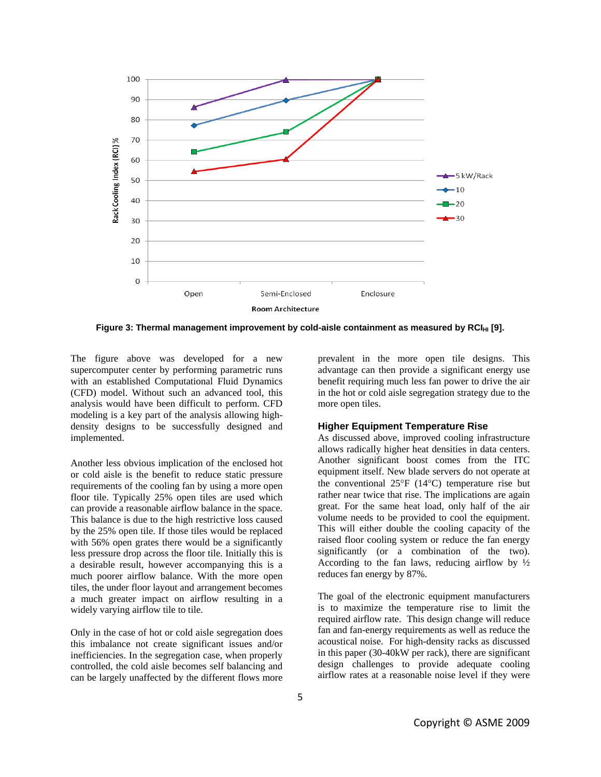

Figure 3: Thermal management improvement by cold-aisle containment as measured by RCI<sub>HI</sub> [9].

The figure above was developed for a new supercomputer center by performing parametric runs with an established Computational Fluid Dynamics (CFD) model. Without such an advanced tool, this analysis would have been difficult to perform. CFD modeling is a key part of the analysis allowing highdensity designs to be successfully designed and implemented.

Another less obvious implication of the enclosed hot or cold aisle is the benefit to reduce static pressure requirements of the cooling fan by using a more open floor tile. Typically 25% open tiles are used which can provide a reasonable airflow balance in the space. This balance is due to the high restrictive loss caused by the 25% open tile. If those tiles would be replaced with 56% open grates there would be a significantly less pressure drop across the floor tile. Initially this is a desirable result, however accompanying this is a much poorer airflow balance. With the more open tiles, the under floor layout and arrangement becomes a much greater impact on airflow resulting in a widely varying airflow tile to tile.

Only in the case of hot or cold aisle segregation does this imbalance not create significant issues and/or inefficiencies. In the segregation case, when properly controlled, the cold aisle becomes self balancing and can be largely unaffected by the different flows more prevalent in the more open tile designs. This advantage can then provide a significant energy use benefit requiring much less fan power to drive the air in the hot or cold aisle segregation strategy due to the more open tiles.

# **Higher Equipment Temperature Rise**

As discussed above, improved cooling infrastructure allows radically higher heat densities in data centers. Another significant boost comes from the ITC equipment itself. New blade servers do not operate at the conventional  $25^{\circ}F$  (14 $^{\circ}C$ ) temperature rise but rather near twice that rise. The implications are again great. For the same heat load, only half of the air volume needs to be provided to cool the equipment. This will either double the cooling capacity of the raised floor cooling system or reduce the fan energy significantly (or a combination of the two). According to the fan laws, reducing airflow by  $\frac{1}{2}$ reduces fan energy by 87%.

The goal of the electronic equipment manufacturers is to maximize the temperature rise to limit the required airflow rate. This design change will reduce fan and fan-energy requirements as well as reduce the acoustical noise. For high-density racks as discussed in this paper (30-40kW per rack), there are significant design challenges to provide adequate cooling airflow rates at a reasonable noise level if they were